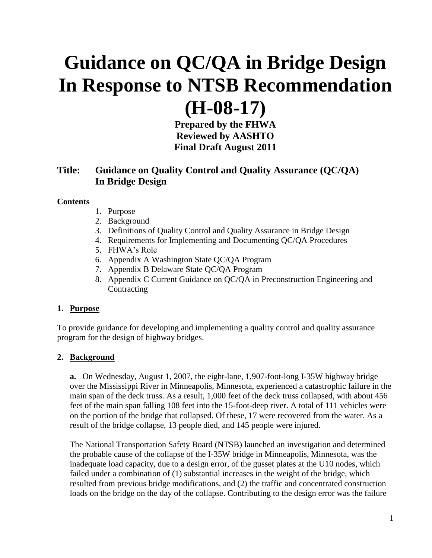# **Guidance on QC/QA in Bridge Design In Response to NTSB Recommendation**

## **(H-08-17)**

**Prepared by the FHWA Reviewed by AASHTO Final Draft August 2011**

## **Title: Guidance on Quality Control and Quality Assurance (QC/QA) In Bridge Design**

#### **Contents**

- 1. Purpose
- 2. Background
- 3. Definitions of Quality Control and Quality Assurance in Bridge Design
- 4. Requirements for Implementing and Documenting QC/QA Procedures
- 5. FHWA's Role
- 6. Appendix A Washington State QC/QA Program
- 7. Appendix B Delaware State QC/QA Program
- 8. Appendix C Current Guidance on QC/QA in Preconstruction Engineering and Contracting

## **1. Purpose**

To provide guidance for developing and implementing a quality control and quality assurance program for the design of highway bridges.

## **2. Background**

**a.** On Wednesday, August 1, 2007, the eight-lane, 1,907-foot-long I-35W highway bridge over the Mississippi River in Minneapolis, Minnesota, experienced a catastrophic failure in the main span of the deck truss. As a result, 1,000 feet of the deck truss collapsed, with about 456 feet of the main span falling 108 feet into the 15-foot-deep river. A total of 111 vehicles were on the portion of the bridge that collapsed. Of these, 17 were recovered from the water. As a result of the bridge collapse, 13 people died, and 145 people were injured.

The National Transportation Safety Board (NTSB) launched an investigation and determined the probable cause of the collapse of the I-35W bridge in Minneapolis, Minnesota, was the inadequate load capacity, due to a design error, of the gusset plates at the U10 nodes, which failed under a combination of (1) substantial increases in the weight of the bridge, which resulted from previous bridge modifications, and (2) the traffic and concentrated construction loads on the bridge on the day of the collapse. Contributing to the design error was the failure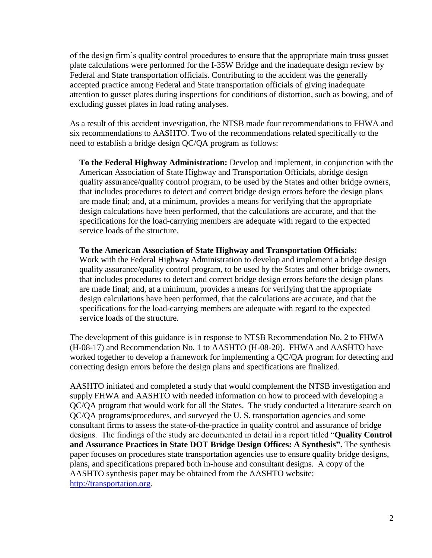of the design firm's quality control procedures to ensure that the appropriate main truss gusset plate calculations were performed for the I-35W Bridge and the inadequate design review by Federal and State transportation officials. Contributing to the accident was the generally accepted practice among Federal and State transportation officials of giving inadequate attention to gusset plates during inspections for conditions of distortion, such as bowing, and of excluding gusset plates in load rating analyses.

As a result of this accident investigation, the NTSB made four recommendations to FHWA and six recommendations to AASHTO. Two of the recommendations related specifically to the need to establish a bridge design QC/QA program as follows:

**To the Federal Highway Administration:** Develop and implement, in conjunction with the American Association of State Highway and Transportation Officials, abridge design quality assurance/quality control program, to be used by the States and other bridge owners, that includes procedures to detect and correct bridge design errors before the design plans are made final; and, at a minimum, provides a means for verifying that the appropriate design calculations have been performed, that the calculations are accurate, and that the specifications for the load-carrying members are adequate with regard to the expected service loads of the structure.

#### **To the American Association of State Highway and Transportation Officials:**

Work with the Federal Highway Administration to develop and implement a bridge design quality assurance/quality control program, to be used by the States and other bridge owners, that includes procedures to detect and correct bridge design errors before the design plans are made final; and, at a minimum, provides a means for verifying that the appropriate design calculations have been performed, that the calculations are accurate, and that the specifications for the load-carrying members are adequate with regard to the expected service loads of the structure.

The development of this guidance is in response to NTSB Recommendation No. 2 to FHWA (H-08-17) and Recommendation No. 1 to AASHTO (H-08-20). FHWA and AASHTO have worked together to develop a framework for implementing a QC/QA program for detecting and correcting design errors before the design plans and specifications are finalized.

AASHTO initiated and completed a study that would complement the NTSB investigation and supply FHWA and AASHTO with needed information on how to proceed with developing a QC/QA program that would work for all the States. The study conducted a literature search on QC/QA programs/procedures, and surveyed the U. S. transportation agencies and some consultant firms to assess the state-of-the-practice in quality control and assurance of bridge designs. The findings of the study are documented in detail in a report titled "**Quality Control and Assurance Practices in State DOT Bridge Design Offices: A Synthesis".** The synthesis paper focuses on procedures state transportation agencies use to ensure quality bridge designs, plans, and specifications prepared both in-house and consultant designs. A copy of the AASHTO synthesis paper may be obtained from the AASHTO website: [http://transportation.org.](http://transportation.org/)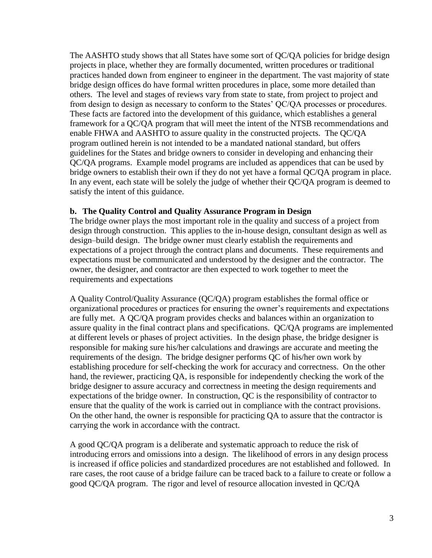The AASHTO study shows that all States have some sort of QC/QA policies for bridge design projects in place, whether they are formally documented, written procedures or traditional practices handed down from engineer to engineer in the department. The vast majority of state bridge design offices do have formal written procedures in place, some more detailed than others. The level and stages of reviews vary from state to state, from project to project and from design to design as necessary to conform to the States' QC/QA processes or procedures. These facts are factored into the development of this guidance, which establishes a general framework for a QC/QA program that will meet the intent of the NTSB recommendations and enable FHWA and AASHTO to assure quality in the constructed projects. The QC/QA program outlined herein is not intended to be a mandated national standard, but offers guidelines for the States and bridge owners to consider in developing and enhancing their QC/QA programs. Example model programs are included as appendices that can be used by bridge owners to establish their own if they do not yet have a formal QC/QA program in place. In any event, each state will be solely the judge of whether their QC/QA program is deemed to satisfy the intent of this guidance.

#### **b. The Quality Control and Quality Assurance Program in Design**

The bridge owner plays the most important role in the quality and success of a project from design through construction. This applies to the in-house design, consultant design as well as design–build design. The bridge owner must clearly establish the requirements and expectations of a project through the contract plans and documents. These requirements and expectations must be communicated and understood by the designer and the contractor. The owner, the designer, and contractor are then expected to work together to meet the requirements and expectations

A Quality Control/Quality Assurance (QC/QA) program establishes the formal office or organizational procedures or practices for ensuring the owner's requirements and expectations are fully met. A QC/QA program provides checks and balances within an organization to assure quality in the final contract plans and specifications. QC/QA programs are implemented at different levels or phases of project activities. In the design phase, the bridge designer is responsible for making sure his/her calculations and drawings are accurate and meeting the requirements of the design. The bridge designer performs QC of his/her own work by establishing procedure for self-checking the work for accuracy and correctness. On the other hand, the reviewer, practicing QA, is responsible for independently checking the work of the bridge designer to assure accuracy and correctness in meeting the design requirements and expectations of the bridge owner. In construction, QC is the responsibility of contractor to ensure that the quality of the work is carried out in compliance with the contract provisions. On the other hand, the owner is responsible for practicing QA to assure that the contractor is carrying the work in accordance with the contract.

A good QC/QA program is a deliberate and systematic approach to reduce the risk of introducing errors and omissions into a design. The likelihood of errors in any design process is increased if office policies and standardized procedures are not established and followed. In rare cases, the root cause of a bridge failure can be traced back to a failure to create or follow a good QC/QA program. The rigor and level of resource allocation invested in QC/QA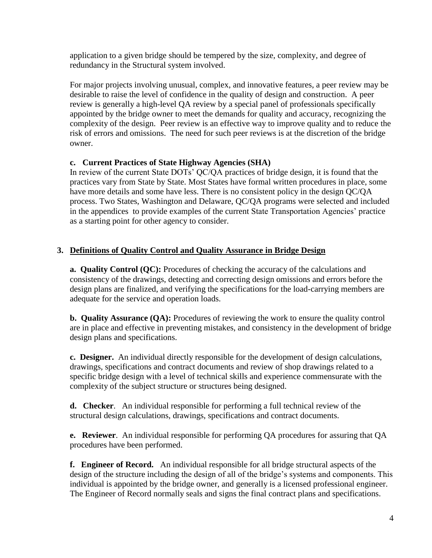application to a given bridge should be tempered by the size, complexity, and degree of redundancy in the Structural system involved.

For major projects involving unusual, complex, and innovative features, a peer review may be desirable to raise the level of confidence in the quality of design and construction. A peer review is generally a high-level QA review by a special panel of professionals specifically appointed by the bridge owner to meet the demands for quality and accuracy, recognizing the complexity of the design. Peer review is an effective way to improve quality and to reduce the risk of errors and omissions. The need for such peer reviews is at the discretion of the bridge owner.

## **c. Current Practices of State Highway Agencies (SHA)**

In review of the current State DOTs' QC/QA practices of bridge design, it is found that the practices vary from State by State. Most States have formal written procedures in place, some have more details and some have less. There is no consistent policy in the design QC/QA process. Two States, Washington and Delaware, QC/QA programs were selected and included in the appendices to provide examples of the current State Transportation Agencies' practice as a starting point for other agency to consider.

## **3. Definitions of Quality Control and Quality Assurance in Bridge Design**

**a. Quality Control (QC):** Procedures of checking the accuracy of the calculations and consistency of the drawings, detecting and correcting design omissions and errors before the design plans are finalized, and verifying the specifications for the load-carrying members are adequate for the service and operation loads.

**b. Quality Assurance (OA):** Procedures of reviewing the work to ensure the quality control are in place and effective in preventing mistakes, and consistency in the development of bridge design plans and specifications.

**c. Designer.** An individual directly responsible for the development of design calculations, drawings, specifications and contract documents and review of shop drawings related to a specific bridge design with a level of technical skills and experience commensurate with the complexity of the subject structure or structures being designed.

**d.****Checker**. An individual responsible for performing a full technical review of the structural design calculations, drawings, specifications and contract documents.

**e.****Reviewer**. An individual responsible for performing QA procedures for assuring that QA procedures have been performed.

**f.****Engineer of Record.** An individual responsible for all bridge structural aspects of the design of the structure including the design of all of the bridge's systems and components. This individual is appointed by the bridge owner, and generally is a licensed professional engineer. The Engineer of Record normally seals and signs the final contract plans and specifications.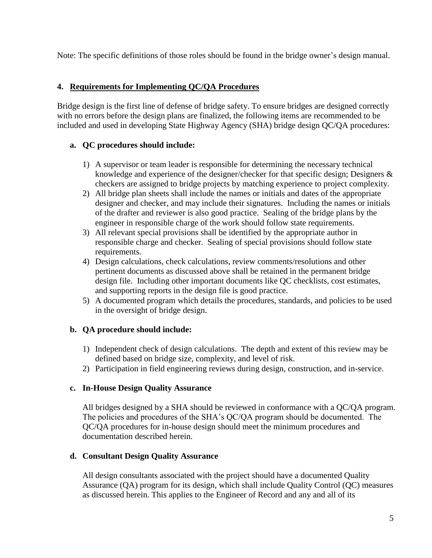Note: The specific definitions of those roles should be found in the bridge owner's design manual.

### **4. Requirements for Implementing QC/QA Procedures**

Bridge design is the first line of defense of bridge safety. To ensure bridges are designed correctly with no errors before the design plans are finalized, the following items are recommended to be included and used in developing State Highway Agency (SHA) bridge design QC/QA procedures:

## **a. QC procedures should include:**

- 1) A supervisor or team leader is responsible for determining the necessary technical knowledge and experience of the designer/checker for that specific design; Designers & checkers are assigned to bridge projects by matching experience to project complexity.
- 2) All bridge plan sheets shall include the names or initials and dates of the appropriate designer and checker, and may include their signatures. Including the names or initials of the drafter and reviewer is also good practice. Sealing of the bridge plans by the engineer in responsible charge of the work should follow state requirements.
- 3) All relevant special provisions shall be identified by the appropriate author in responsible charge and checker. Sealing of special provisions should follow state requirements.
- 4) Design calculations, check calculations, review comments/resolutions and other pertinent documents as discussed above shall be retained in the permanent bridge design file. Including other important documents like QC checklists, cost estimates, and supporting reports in the design file is good practice.
- 5) A documented program which details the procedures, standards, and policies to be used in the oversight of bridge design.

## **b. QA procedure should include:**

- 1) Independent check of design calculations. The depth and extent of this review may be defined based on bridge size, complexity, and level of risk.
- 2) Participation in field engineering reviews during design, construction, and in-service.

## **c. In-House Design Quality Assurance**

All bridges designed by a SHA should be reviewed in conformance with a QC/QA program. The policies and procedures of the SHA's QC/QA program should be documented. The QC/QA procedures for in-house design should meet the minimum procedures and documentation described herein.

## **d. Consultant Design Quality Assurance**

All design consultants associated with the project should have a documented Quality Assurance (QA) program for its design, which shall include Quality Control (QC) measures as discussed herein. This applies to the Engineer of Record and any and all of its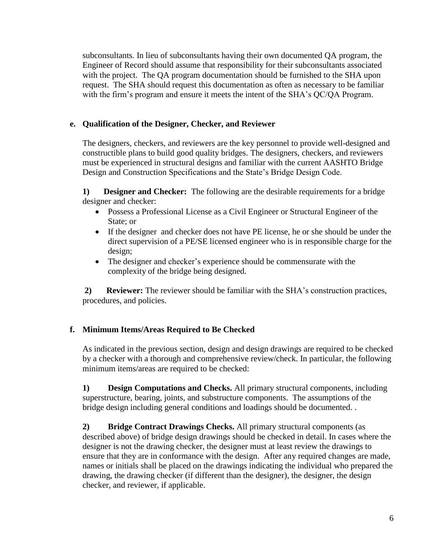subconsultants. In lieu of subconsultants having their own documented QA program, the Engineer of Record should assume that responsibility for their subconsultants associated with the project. The QA program documentation should be furnished to the SHA upon request. The SHA should request this documentation as often as necessary to be familiar with the firm's program and ensure it meets the intent of the SHA's QC/QA Program.

## **e. Qualification of the Designer, Checker, and Reviewer**

The designers, checkers, and reviewers are the key personnel to provide well-designed and constructible plans to build good quality bridges. The designers, checkers, and reviewers must be experienced in structural designs and familiar with the current AASHTO Bridge Design and Construction Specifications and the State's Bridge Design Code.

**1) Designer and Checker:** The following are the desirable requirements for a bridge designer and checker:

- Possess a Professional License as a Civil Engineer or Structural Engineer of the State; or
- If the designer and checker does not have PE license, he or she should be under the direct supervision of a PE/SE licensed engineer who is in responsible charge for the design;
- The designer and checker's experience should be commensurate with the complexity of the bridge being designed.

**2) Reviewer:** The reviewer should be familiar with the SHA's construction practices, procedures, and policies.

## **f. Minimum Items/Areas Required to Be Checked**

As indicated in the previous section, design and design drawings are required to be checked by a checker with a thorough and comprehensive review/check. In particular, the following minimum items/areas are required to be checked:

**1) Design Computations and Checks.** All primary structural components, including superstructure, bearing, joints, and substructure components. The assumptions of the bridge design including general conditions and loadings should be documented. .

**2) Bridge Contract Drawings Checks.** All primary structural components (as described above) of bridge design drawings should be checked in detail. In cases where the designer is not the drawing checker, the designer must at least review the drawings to ensure that they are in conformance with the design. After any required changes are made, names or initials shall be placed on the drawings indicating the individual who prepared the drawing, the drawing checker (if different than the designer), the designer, the design checker, and reviewer, if applicable.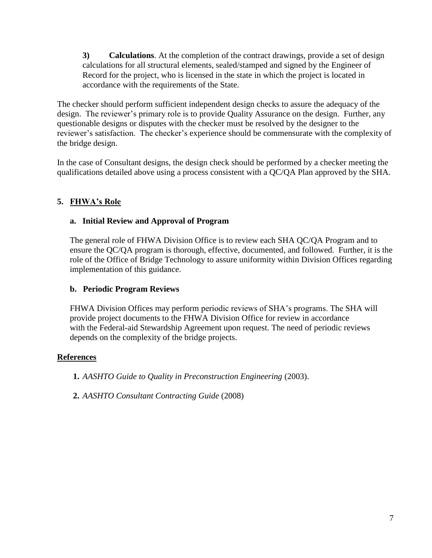**3) Calculations**. At the completion of the contract drawings, provide a set of design calculations for all structural elements, sealed/stamped and signed by the Engineer of Record for the project, who is licensed in the state in which the project is located in accordance with the requirements of the State.

The checker should perform sufficient independent design checks to assure the adequacy of the design. The reviewer's primary role is to provide Quality Assurance on the design. Further, any questionable designs or disputes with the checker must be resolved by the designer to the reviewer's satisfaction. The checker's experience should be commensurate with the complexity of the bridge design.

In the case of Consultant designs, the design check should be performed by a checker meeting the qualifications detailed above using a process consistent with a QC/QA Plan approved by the SHA.

## **5. FHWA's Role**

## **a. Initial Review and Approval of Program**

The general role of FHWA Division Office is to review each SHA QC/QA Program and to ensure the QC/QA program is thorough, effective, documented, and followed. Further, it is the role of the Office of Bridge Technology to assure uniformity within Division Offices regarding implementation of this guidance.

## **b. Periodic Program Reviews**

FHWA Division Offices may perform periodic reviews of SHA's programs. The SHA will provide project documents to the FHWA Division Office for review in accordance with the Federal-aid Stewardship Agreement upon request. The need of periodic reviews depends on the complexity of the bridge projects.

## **References**

**1.** *AASHTO Guide to Quality in Preconstruction Engineering* (2003).

**2.** *AASHTO Consultant Contracting Guide* (2008)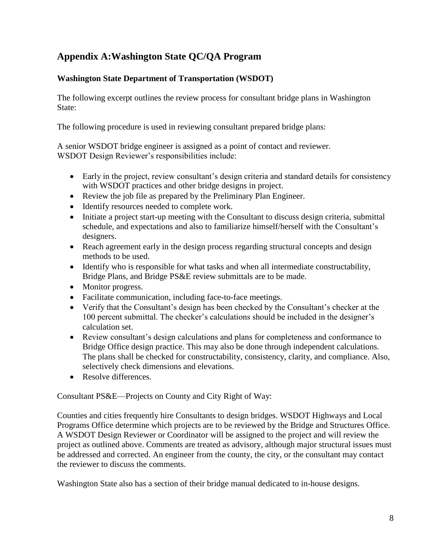## **Appendix A:Washington State QC/QA Program**

## **Washington State Department of Transportation (WSDOT)**

The following excerpt outlines the review process for consultant bridge plans in Washington State:

The following procedure is used in reviewing consultant prepared bridge plans:

A senior WSDOT bridge engineer is assigned as a point of contact and reviewer. WSDOT Design Reviewer's responsibilities include:

- Early in the project, review consultant's design criteria and standard details for consistency with WSDOT practices and other bridge designs in project.
- Review the job file as prepared by the Preliminary Plan Engineer.
- Identify resources needed to complete work.
- Initiate a project start-up meeting with the Consultant to discuss design criteria, submittal schedule, and expectations and also to familiarize himself/herself with the Consultant's designers.
- Reach agreement early in the design process regarding structural concepts and design methods to be used.
- Identify who is responsible for what tasks and when all intermediate constructability, Bridge Plans, and Bridge PS&E review submittals are to be made.
- Monitor progress.
- Facilitate communication, including face-to-face meetings.
- Verify that the Consultant's design has been checked by the Consultant's checker at the 100 percent submittal. The checker's calculations should be included in the designer's calculation set.
- Review consultant's design calculations and plans for completeness and conformance to Bridge Office design practice. This may also be done through independent calculations. The plans shall be checked for constructability, consistency, clarity, and compliance. Also, selectively check dimensions and elevations.
- Resolve differences.

Consultant PS&E—Projects on County and City Right of Way:

Counties and cities frequently hire Consultants to design bridges. WSDOT Highways and Local Programs Office determine which projects are to be reviewed by the Bridge and Structures Office. A WSDOT Design Reviewer or Coordinator will be assigned to the project and will review the project as outlined above. Comments are treated as advisory, although major structural issues must be addressed and corrected. An engineer from the county, the city, or the consultant may contact the reviewer to discuss the comments.

Washington State also has a section of their bridge manual dedicated to in-house designs.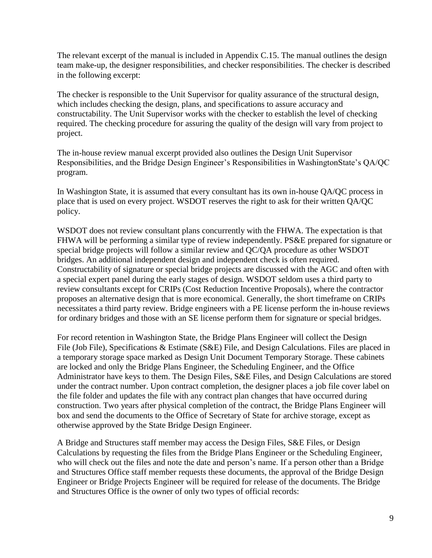The relevant excerpt of the manual is included in Appendix C.15. The manual outlines the design team make-up, the designer responsibilities, and checker responsibilities. The checker is described in the following excerpt:

The checker is responsible to the Unit Supervisor for quality assurance of the structural design, which includes checking the design, plans, and specifications to assure accuracy and constructability. The Unit Supervisor works with the checker to establish the level of checking required. The checking procedure for assuring the quality of the design will vary from project to project.

The in-house review manual excerpt provided also outlines the Design Unit Supervisor Responsibilities, and the Bridge Design Engineer's Responsibilities in WashingtonState's QA/QC program.

In Washington State, it is assumed that every consultant has its own in-house QA/QC process in place that is used on every project. WSDOT reserves the right to ask for their written QA/QC policy.

WSDOT does not review consultant plans concurrently with the FHWA. The expectation is that FHWA will be performing a similar type of review independently. PS&E prepared for signature or special bridge projects will follow a similar review and QC/QA procedure as other WSDOT bridges. An additional independent design and independent check is often required. Constructability of signature or special bridge projects are discussed with the AGC and often with a special expert panel during the early stages of design. WSDOT seldom uses a third party to review consultants except for CRIPs (Cost Reduction Incentive Proposals), where the contractor proposes an alternative design that is more economical. Generally, the short timeframe on CRIPs necessitates a third party review. Bridge engineers with a PE license perform the in-house reviews for ordinary bridges and those with an SE license perform them for signature or special bridges.

For record retention in Washington State, the Bridge Plans Engineer will collect the Design File (Job File), Specifications & Estimate (S&E) File, and Design Calculations. Files are placed in a temporary storage space marked as Design Unit Document Temporary Storage. These cabinets are locked and only the Bridge Plans Engineer, the Scheduling Engineer, and the Office Administrator have keys to them. The Design Files, S&E Files, and Design Calculations are stored under the contract number. Upon contract completion, the designer places a job file cover label on the file folder and updates the file with any contract plan changes that have occurred during construction. Two years after physical completion of the contract, the Bridge Plans Engineer will box and send the documents to the Office of Secretary of State for archive storage, except as otherwise approved by the State Bridge Design Engineer.

A Bridge and Structures staff member may access the Design Files, S&E Files, or Design Calculations by requesting the files from the Bridge Plans Engineer or the Scheduling Engineer, who will check out the files and note the date and person's name. If a person other than a Bridge and Structures Office staff member requests these documents, the approval of the Bridge Design Engineer or Bridge Projects Engineer will be required for release of the documents. The Bridge and Structures Office is the owner of only two types of official records: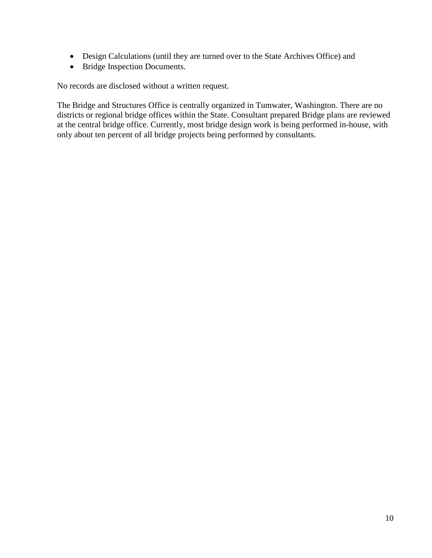- Design Calculations (until they are turned over to the State Archives Office) and
- Bridge Inspection Documents.

No records are disclosed without a written request.

The Bridge and Structures Office is centrally organized in Tumwater, Washington. There are no districts or regional bridge offices within the State. Consultant prepared Bridge plans are reviewed at the central bridge office. Currently, most bridge design work is being performed in-house, with only about ten percent of all bridge projects being performed by consultants.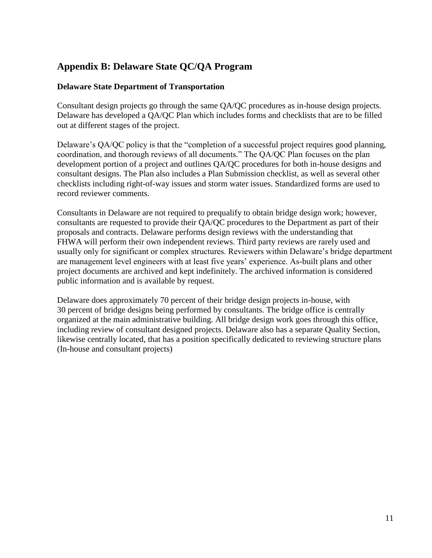## **Appendix B: Delaware State QC/QA Program**

## **Delaware State Department of Transportation**

Consultant design projects go through the same QA/QC procedures as in-house design projects. Delaware has developed a QA/QC Plan which includes forms and checklists that are to be filled out at different stages of the project.

Delaware's QA/QC policy is that the "completion of a successful project requires good planning, coordination, and thorough reviews of all documents." The QA/QC Plan focuses on the plan development portion of a project and outlines QA/QC procedures for both in-house designs and consultant designs. The Plan also includes a Plan Submission checklist, as well as several other checklists including right-of-way issues and storm water issues. Standardized forms are used to record reviewer comments.

Consultants in Delaware are not required to prequalify to obtain bridge design work; however, consultants are requested to provide their QA/QC procedures to the Department as part of their proposals and contracts. Delaware performs design reviews with the understanding that FHWA will perform their own independent reviews. Third party reviews are rarely used and usually only for significant or complex structures. Reviewers within Delaware's bridge department are management level engineers with at least five years' experience. As-built plans and other project documents are archived and kept indefinitely. The archived information is considered public information and is available by request.

Delaware does approximately 70 percent of their bridge design projects in-house, with 30 percent of bridge designs being performed by consultants. The bridge office is centrally organized at the main administrative building. All bridge design work goes through this office, including review of consultant designed projects. Delaware also has a separate Quality Section, likewise centrally located, that has a position specifically dedicated to reviewing structure plans (In-house and consultant projects)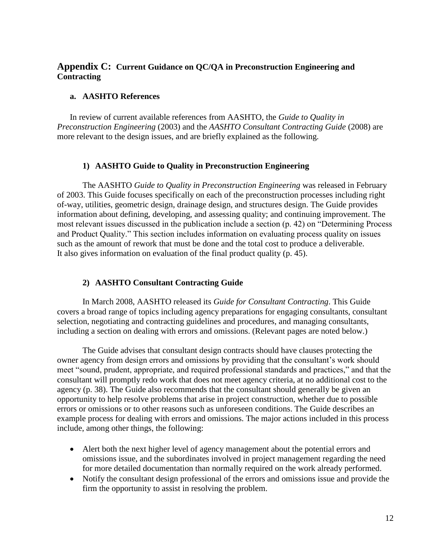## **Appendix C: Current Guidance on QC/QA in Preconstruction Engineering and Contracting**

#### **a. AASHTO References**

In review of current available references from AASHTO, the *Guide to Quality in Preconstruction Engineering* (2003) and the *AASHTO Consultant Contracting Guide* (2008) are more relevant to the design issues, and are briefly explained as the following.

#### **1) AASHTO Guide to Quality in Preconstruction Engineering**

The AASHTO *Guide to Quality in Preconstruction Engineering* was released in February of 2003. This Guide focuses specifically on each of the preconstruction processes including right of-way, utilities, geometric design, drainage design, and structures design. The Guide provides information about defining, developing, and assessing quality; and continuing improvement. The most relevant issues discussed in the publication include a section (p. 42) on "Determining Process and Product Quality." This section includes information on evaluating process quality on issues such as the amount of rework that must be done and the total cost to produce a deliverable. It also gives information on evaluation of the final product quality (p. 45).

### **2) AASHTO Consultant Contracting Guide**

In March 2008, AASHTO released its *Guide for Consultant Contracting*. This Guide covers a broad range of topics including agency preparations for engaging consultants, consultant selection, negotiating and contracting guidelines and procedures, and managing consultants, including a section on dealing with errors and omissions. (Relevant pages are noted below.)

The Guide advises that consultant design contracts should have clauses protecting the owner agency from design errors and omissions by providing that the consultant's work should meet "sound, prudent, appropriate, and required professional standards and practices," and that the consultant will promptly redo work that does not meet agency criteria, at no additional cost to the agency (p. 38). The Guide also recommends that the consultant should generally be given an opportunity to help resolve problems that arise in project construction, whether due to possible errors or omissions or to other reasons such as unforeseen conditions. The Guide describes an example process for dealing with errors and omissions. The major actions included in this process include, among other things, the following:

- Alert both the next higher level of agency management about the potential errors and omissions issue, and the subordinates involved in project management regarding the need for more detailed documentation than normally required on the work already performed.
- Notify the consultant design professional of the errors and omissions issue and provide the firm the opportunity to assist in resolving the problem.